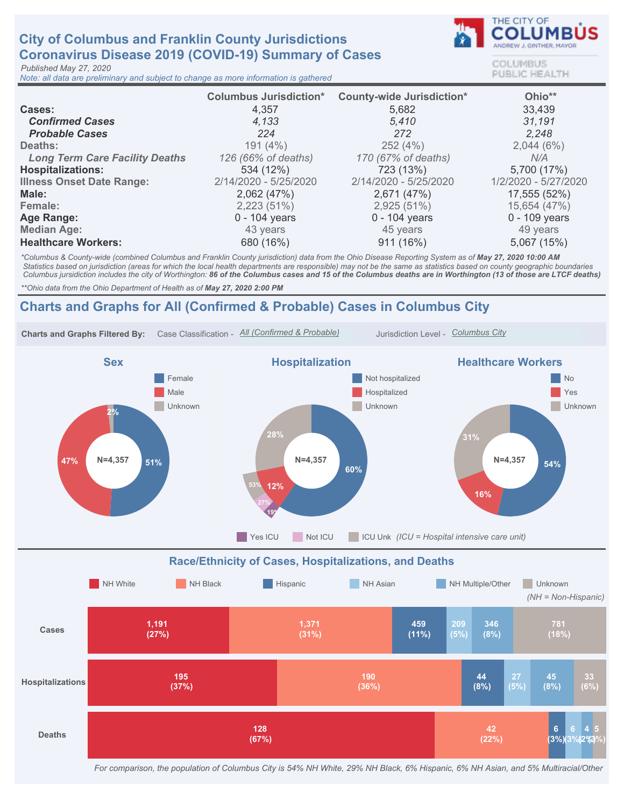## **City of Columbus and Franklin County Jurisdictions** Coronavirus Disease 2019 (COVID-19) Summary of Cases

Published May 27, 2020

Note: all data are preliminary and subject to change as more information is gathered



COLUMBUS **PUBLIC HEALTH** 

|                                       | <b>Columbus Jurisdiction*</b> | <b>County-wide Jurisdiction*</b> | Ohio**               |
|---------------------------------------|-------------------------------|----------------------------------|----------------------|
| Cases:                                | 4,357                         | 5,682                            | 33,439               |
| <b>Confirmed Cases</b>                | 4,133                         | 5,410                            | 31,191               |
| <b>Probable Cases</b>                 | 224                           | 272                              | 2,248                |
| Deaths:                               | 191(4%)                       | 252(4%)                          | 2,044(6%)            |
| <b>Long Term Care Facility Deaths</b> | 126 (66% of deaths)           | 170 (67% of deaths)              | N/A                  |
| <b>Hospitalizations:</b>              | 534 (12%)                     | 723 (13%)                        | 5,700 (17%)          |
| <b>Illness Onset Date Range:</b>      | 2/14/2020 - 5/25/2020         | 2/14/2020 - 5/25/2020            | 1/2/2020 - 5/27/2020 |
| Male:                                 | 2,062(47%)                    | 2,671 (47%)                      | 17,555 (52%)         |
| Female:                               | 2,223(51%)                    | 2,925(51%)                       | 15,654 (47%)         |
| Age Range:                            | $0 - 104$ years               | $0 - 104$ years                  | 0 - 109 years        |
| <b>Median Age:</b>                    | 43 years                      | 45 years                         | 49 years             |
| <b>Healthcare Workers:</b>            | 680 (16%)                     | 911(16%)                         | 5,067 (15%)          |

\*Columbus & County-wide (combined Columbus and Franklin County jurisdiction) data from the Ohio Disease Reporting System as of May 27, 2020 10:00 AM Statistics based on jurisdiction (areas for which the local health departments are responsible) may not be the same as statistics based on county geographic boundaries Columbus jursidiction includes the city of Worthington: 86 of the Columbus cases and 15 of the Columbus deaths are in Worthington (13 of those are LTCF deaths)

\*\* Ohio data from the Ohio Department of Health as of May 27, 2020 2:00 PM

## Charts and Graphs for All (Confirmed & Probable) Cases in Columbus City



For comparison, the population of Columbus City is 54% NH White, 29% NH Black, 6% Hispanic, 6% NH Asian, and 5% Multiracial/Other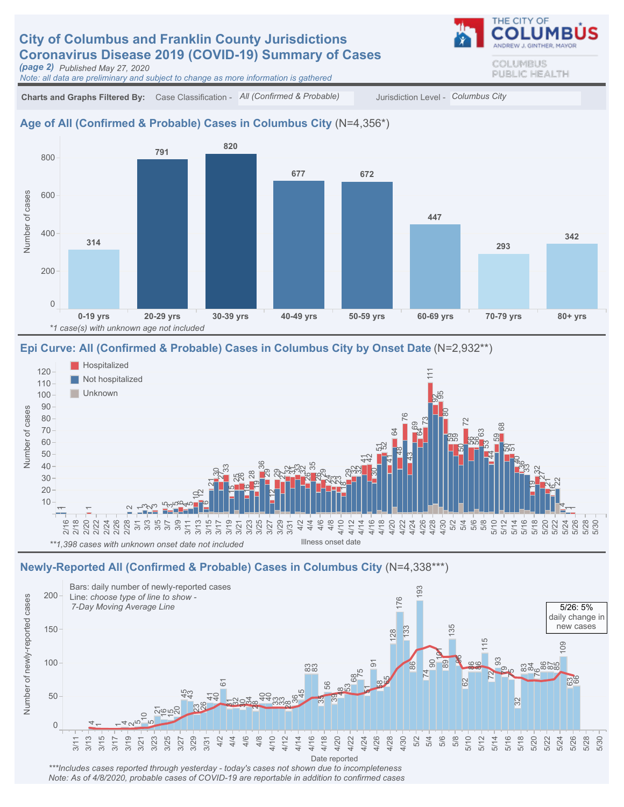## **City of Columbus and Franklin County Jurisdictions** Coronavirus Disease 2019 (COVID-19) Summary of Cases

(page2) PublishedMay27,2020

Note: all data are preliminary and subject to change as more information is gathered

Charts and Graphs Filtered By: Case Classification - All (Confirmed & Probable) Jurisdiction Level - Columbus City

#### Age of All (Confirmed & Probable) Cases in Columbus City (N=4,356\*)



#### Epi Curve: All (Confirmed & Probable) Cases in Columbus City by Onset Date (N=2,932\*\*)



#### Newly-Reported All (Confirmed & Probable) Cases in Columbus City (N=4,338\*\*\*)



\*\*\*Includes cases reported through yesterday - today's cases not shown due to incompleteness Note: As of 4/8/2020, probable cases of COVID-19 are reportable in addition to confirmed cases